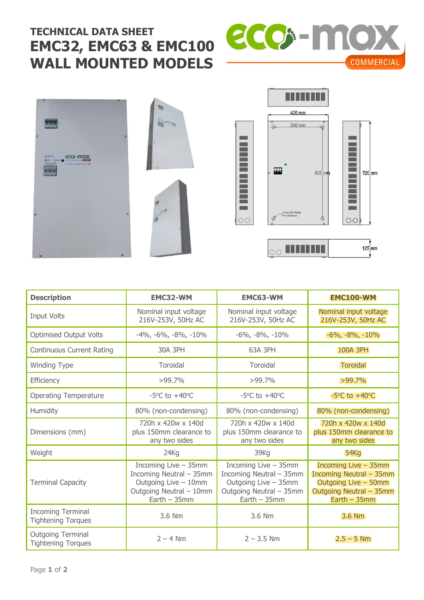## **TECHNICAL DATA SHEET EMC32, EMC63 & EMC100 WALL MOUNTED MODELS**





| <b>Description</b>                                    | EMC32-WM                                                                                                               | EMC63-WM                                                                                                             | <b>EMC100-WM</b>                                                                                                     |
|-------------------------------------------------------|------------------------------------------------------------------------------------------------------------------------|----------------------------------------------------------------------------------------------------------------------|----------------------------------------------------------------------------------------------------------------------|
| <b>Input Volts</b>                                    | Nominal input voltage<br>216V-253V, 50Hz AC                                                                            | Nominal input voltage<br>216V-253V, 50Hz AC                                                                          | Nominal input voltage<br>216V-253V, 50Hz AC                                                                          |
| <b>Optimised Output Volts</b>                         | $-4\%$ , $-6\%$ , $-8\%$ , $-10\%$                                                                                     | $-6\%$ , $-8\%$ , $-10\%$                                                                                            | $-6\%$ , $-8\%$ , $-10\%$                                                                                            |
| <b>Continuous Current Rating</b>                      | 30A 3PH                                                                                                                | 63A 3PH                                                                                                              | <b>100A 3PH</b>                                                                                                      |
| <b>Winding Type</b>                                   | Toroidal                                                                                                               | Toroidal                                                                                                             | Toroidal                                                                                                             |
| Efficiency                                            | $>99.7\%$                                                                                                              | $>99.7\%$                                                                                                            | $>99.7\%$                                                                                                            |
| <b>Operating Temperature</b>                          | $-5^{\circ}$ C to $+40^{\circ}$ C                                                                                      | $-5^{\circ}$ C to $+40^{\circ}$ C                                                                                    | $-5^{\circ}$ C to $+40^{\circ}$ C                                                                                    |
| Humidity                                              | 80% (non-condensing)                                                                                                   | 80% (non-condensing)                                                                                                 | 80% (non-condensing)                                                                                                 |
| Dimensions (mm)                                       | 720h x 420w x 140d<br>plus 150mm clearance to<br>any two sides                                                         | 720h x 420w x 140d<br>plus 150mm clearance to<br>any two sides                                                       | 720h x 420w x 140d<br>plus 150mm clearance to<br>any two sides                                                       |
| Weight                                                | 24Kq                                                                                                                   | 39Kg                                                                                                                 | <b>54Kg</b>                                                                                                          |
| <b>Terminal Capacity</b>                              | Incoming Live $-35$ mm<br>Incoming Neutral - 35mm<br>Outgoing Live - 10mm<br>Outgoing Neutral - 10mm<br>Earth $-35$ mm | Incoming Live - 35mm<br>Incoming Neutral - 35mm<br>Outgoing Live - 35mm<br>Outgoing Neutral - 35mm<br>Earth $-35$ mm | Incoming Live - 35mm<br>Incoming Neutral - 35mm<br>Outgoing Live - 50mm<br>Outgoing Neutral - 35mm<br>Earth $-35$ mm |
| <b>Incoming Terminal</b><br><b>Tightening Torques</b> | 3.6 Nm                                                                                                                 | 3.6 Nm                                                                                                               | 3.6 Nm                                                                                                               |
| <b>Outgoing Terminal</b><br><b>Tightening Torques</b> | $2 - 4$ Nm                                                                                                             | $2 - 3.5$ Nm                                                                                                         | $2.5 - 5$ Nm                                                                                                         |